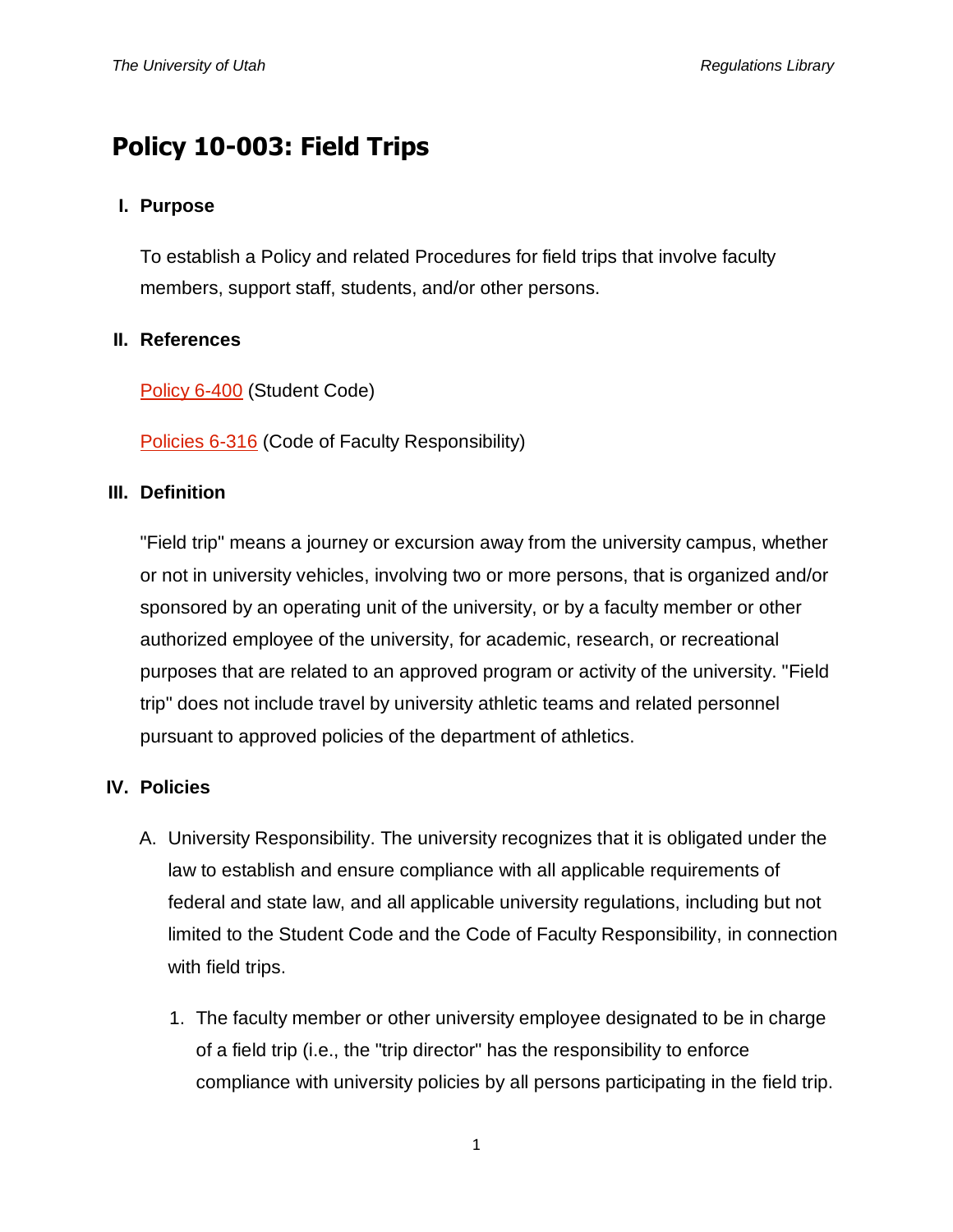# **Policy 10-003: Field Trips**

#### **I. Purpose**

To establish a Policy and related Procedures for field trips that involve faculty members, support staff, students, and/or other persons.

#### **II. References**

[Policy 6-400](http://regulations.utah.edu/academics/6-400.php) (Student Code)

[Policies 6-316](http://regulations.utah.edu/academics/6-316.php) (Code of Faculty Responsibility)

#### **III. Definition**

"Field trip" means a journey or excursion away from the university campus, whether or not in university vehicles, involving two or more persons, that is organized and/or sponsored by an operating unit of the university, or by a faculty member or other authorized employee of the university, for academic, research, or recreational purposes that are related to an approved program or activity of the university. "Field trip" does not include travel by university athletic teams and related personnel pursuant to approved policies of the department of athletics.

### **IV. Policies**

- A. University Responsibility. The university recognizes that it is obligated under the law to establish and ensure compliance with all applicable requirements of federal and state law, and all applicable university regulations, including but not limited to the Student Code and the Code of Faculty Responsibility, in connection with field trips.
	- 1. The faculty member or other university employee designated to be in charge of a field trip (i.e., the "trip director" has the responsibility to enforce compliance with university policies by all persons participating in the field trip.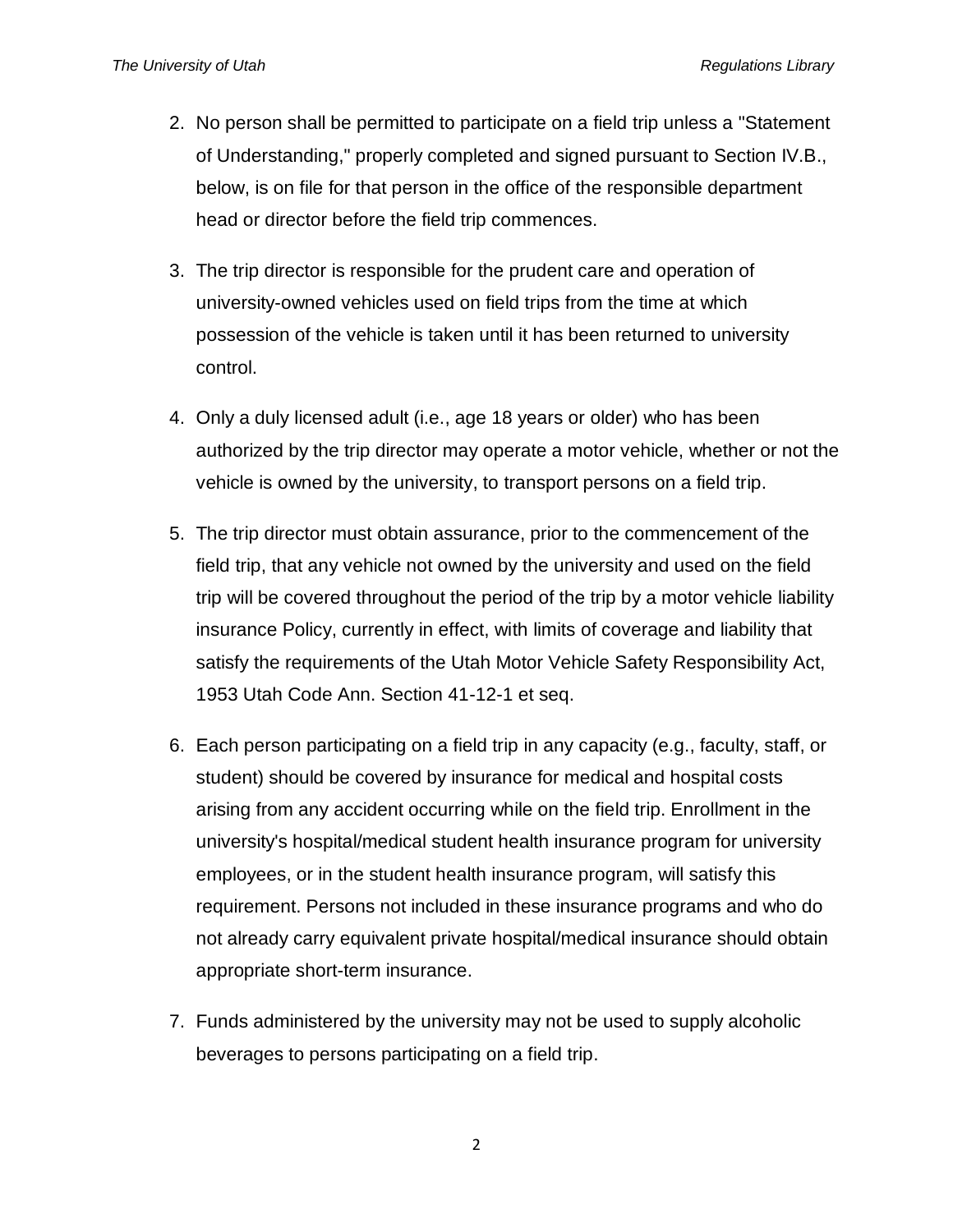- 2. No person shall be permitted to participate on a field trip unless a "Statement of Understanding," properly completed and signed pursuant to Section IV.B., below, is on file for that person in the office of the responsible department head or director before the field trip commences.
- 3. The trip director is responsible for the prudent care and operation of university-owned vehicles used on field trips from the time at which possession of the vehicle is taken until it has been returned to university control.
- 4. Only a duly licensed adult (i.e., age 18 years or older) who has been authorized by the trip director may operate a motor vehicle, whether or not the vehicle is owned by the university, to transport persons on a field trip.
- 5. The trip director must obtain assurance, prior to the commencement of the field trip, that any vehicle not owned by the university and used on the field trip will be covered throughout the period of the trip by a motor vehicle liability insurance Policy, currently in effect, with limits of coverage and liability that satisfy the requirements of the Utah Motor Vehicle Safety Responsibility Act, 1953 Utah Code Ann. Section 41-12-1 et seq.
- 6. Each person participating on a field trip in any capacity (e.g., faculty, staff, or student) should be covered by insurance for medical and hospital costs arising from any accident occurring while on the field trip. Enrollment in the university's hospital/medical student health insurance program for university employees, or in the student health insurance program, will satisfy this requirement. Persons not included in these insurance programs and who do not already carry equivalent private hospital/medical insurance should obtain appropriate short-term insurance.
- 7. Funds administered by the university may not be used to supply alcoholic beverages to persons participating on a field trip.

2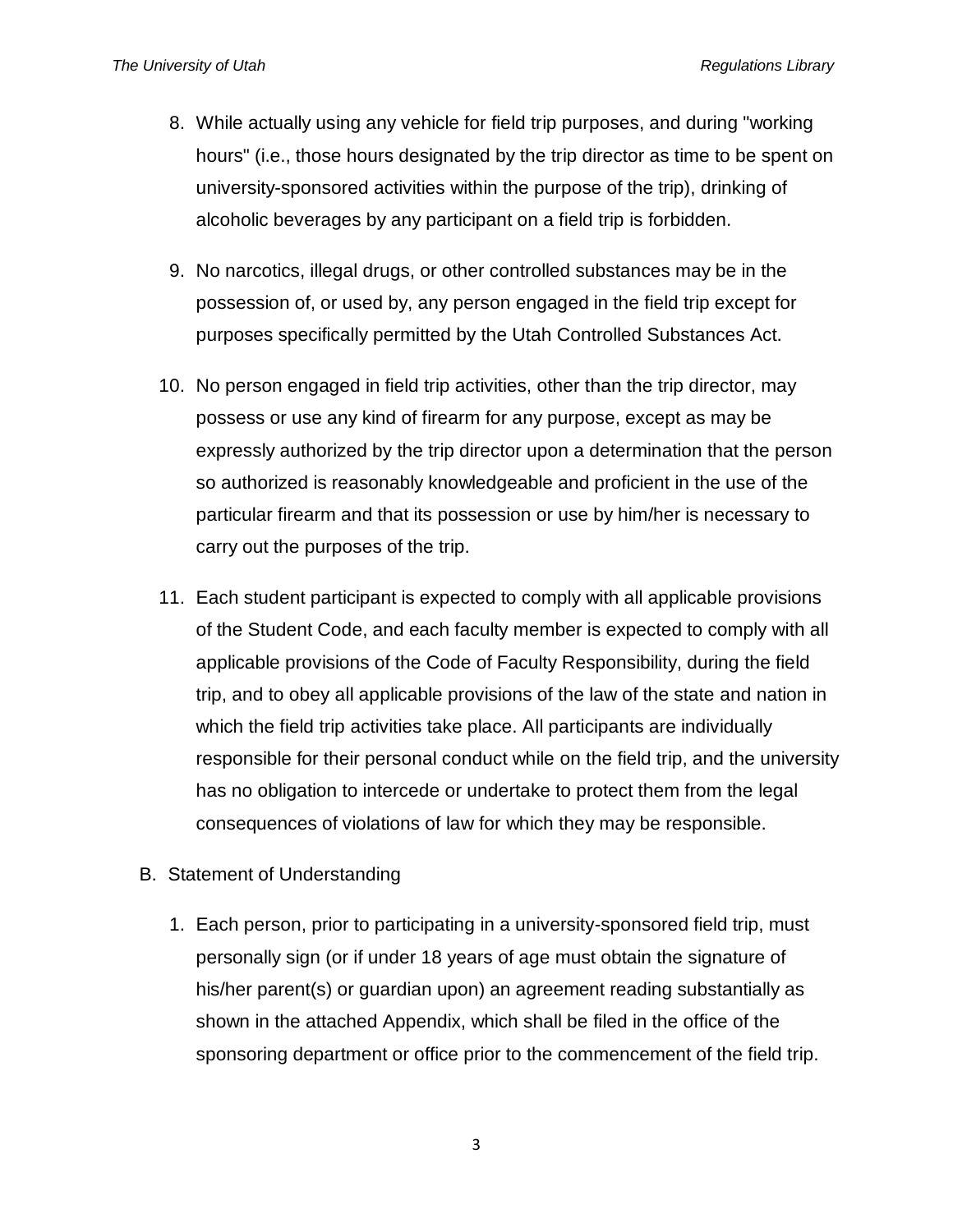- 8. While actually using any vehicle for field trip purposes, and during "working hours" (i.e., those hours designated by the trip director as time to be spent on university-sponsored activities within the purpose of the trip), drinking of alcoholic beverages by any participant on a field trip is forbidden.
- 9. No narcotics, illegal drugs, or other controlled substances may be in the possession of, or used by, any person engaged in the field trip except for purposes specifically permitted by the Utah Controlled Substances Act.
- 10. No person engaged in field trip activities, other than the trip director, may possess or use any kind of firearm for any purpose, except as may be expressly authorized by the trip director upon a determination that the person so authorized is reasonably knowledgeable and proficient in the use of the particular firearm and that its possession or use by him/her is necessary to carry out the purposes of the trip.
- 11. Each student participant is expected to comply with all applicable provisions of the Student Code, and each faculty member is expected to comply with all applicable provisions of the Code of Faculty Responsibility, during the field trip, and to obey all applicable provisions of the law of the state and nation in which the field trip activities take place. All participants are individually responsible for their personal conduct while on the field trip, and the university has no obligation to intercede or undertake to protect them from the legal consequences of violations of law for which they may be responsible.
- B. Statement of Understanding
	- 1. Each person, prior to participating in a university-sponsored field trip, must personally sign (or if under 18 years of age must obtain the signature of his/her parent(s) or guardian upon) an agreement reading substantially as shown in the attached Appendix, which shall be filed in the office of the sponsoring department or office prior to the commencement of the field trip.

3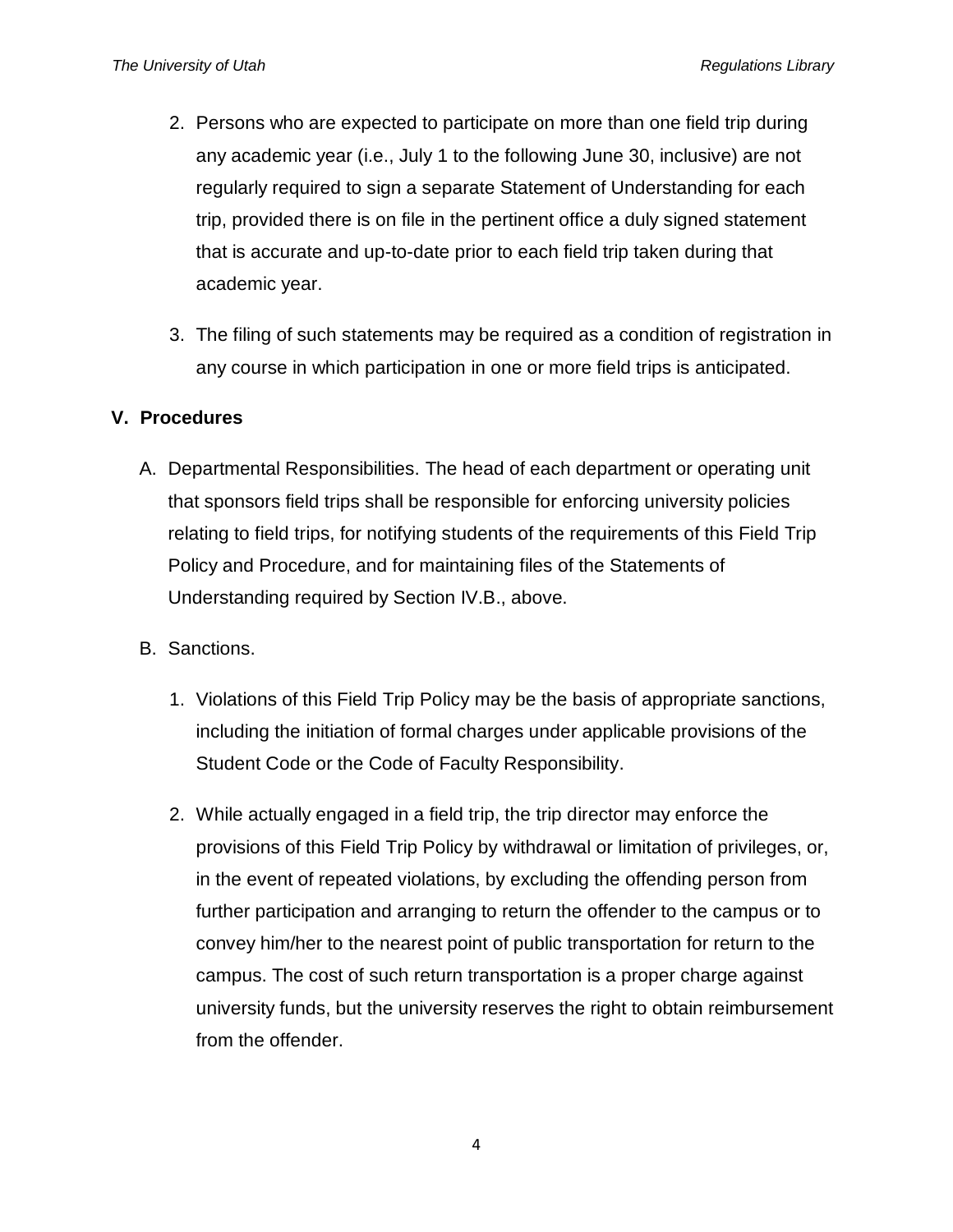- 2. Persons who are expected to participate on more than one field trip during any academic year (i.e., July 1 to the following June 30, inclusive) are not regularly required to sign a separate Statement of Understanding for each trip, provided there is on file in the pertinent office a duly signed statement that is accurate and up-to-date prior to each field trip taken during that academic year.
- 3. The filing of such statements may be required as a condition of registration in any course in which participation in one or more field trips is anticipated.

#### **V. Procedures**

- A. Departmental Responsibilities. The head of each department or operating unit that sponsors field trips shall be responsible for enforcing university policies relating to field trips, for notifying students of the requirements of this Field Trip Policy and Procedure, and for maintaining files of the Statements of Understanding required by Section IV.B., above.
- B. Sanctions.
	- 1. Violations of this Field Trip Policy may be the basis of appropriate sanctions, including the initiation of formal charges under applicable provisions of the Student Code or the Code of Faculty Responsibility.
	- 2. While actually engaged in a field trip, the trip director may enforce the provisions of this Field Trip Policy by withdrawal or limitation of privileges, or, in the event of repeated violations, by excluding the offending person from further participation and arranging to return the offender to the campus or to convey him/her to the nearest point of public transportation for return to the campus. The cost of such return transportation is a proper charge against university funds, but the university reserves the right to obtain reimbursement from the offender.

4